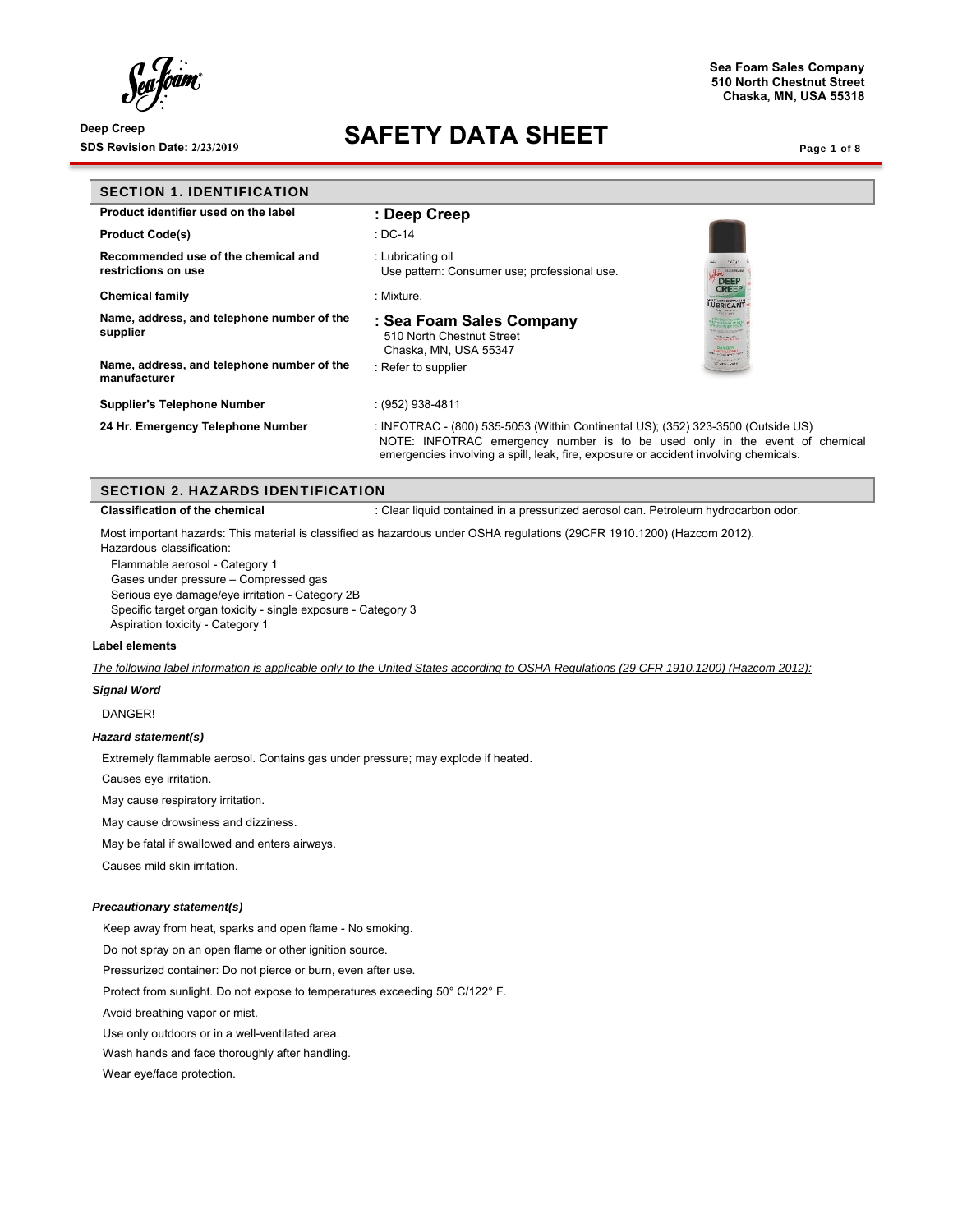# **SDS Revision Date: 2/23/2019 SAFETY DATA SHEET**

**Sea Foam Sales Company 510 North Chestnut Street Chaska, MN, USA 55318**

Page 1 of 8

| <b>SECTION 1. IDENTIFICATION</b>                           |                                                                                                                                                                                                                                                         |
|------------------------------------------------------------|---------------------------------------------------------------------------------------------------------------------------------------------------------------------------------------------------------------------------------------------------------|
| Product identifier used on the label                       | : Deep Creep                                                                                                                                                                                                                                            |
| <b>Product Code(s)</b>                                     | : DC-14                                                                                                                                                                                                                                                 |
| Recommended use of the chemical and<br>restrictions on use | : Lubricating oil<br>Use pattern: Consumer use; professional use.<br><b>OUNT COACH</b><br><b>DEEP</b>                                                                                                                                                   |
| <b>Chemical family</b>                                     | <b>CREEP</b><br>: Mixture.<br>LUBRICANT                                                                                                                                                                                                                 |
| Name, address, and telephone number of the<br>supplier     | <b>WANTED</b><br>: Sea Foam Sales Company<br><b>E lives cours QN</b><br>510 North Chestnut Street<br><b><i>Simpson Ward</i></b><br>Chaska, MN, USA 55347<br><b>TAPOS HARBERS</b>                                                                        |
| Name, address, and telephone number of the<br>manufacturer | <b>SHE HARLIGHT</b><br><b>E ATISSORIA</b><br>: Refer to supplier                                                                                                                                                                                        |
| <b>Supplier's Telephone Number</b>                         | : (952) 938-4811                                                                                                                                                                                                                                        |
| 24 Hr. Emergency Telephone Number                          | : INFOTRAC - (800) 535-5053 (Within Continental US); (352) 323-3500 (Outside US)<br>NOTE: INFOTRAC emergency number is to be used only in the event of chemical<br>emergencies involving a spill, leak, fire, exposure or accident involving chemicals. |

|  | <b>SECTION 2. HAZARDS IDENTIFICATION</b> |  |  |
|--|------------------------------------------|--|--|
|  |                                          |  |  |

**Classification of the chemical** : Clear liquid contained in a pressurized aerosol can. Petroleum hydrocarbon odor.

Most important hazards: This material is classified as hazardous under OSHA regulations (29CFR 1910.1200) (Hazcom 2012).

Hazardous classification:

Flammable aerosol - Category 1

Gases under pressure – Compressed gas

Serious eye damage/eye irritation - Category 2B

Specific target organ toxicity - single exposure - Category 3 Aspiration toxicity - Category 1

#### **Label elements**

*The following label information is applicable only to the United States according to OSHA Regulations (29 CFR 1910.1200) (Hazcom 2012):* 

## *Signal Word*

DANGER!

### *Hazard statement(s)*

Extremely flammable aerosol. Contains gas under pressure; may explode if heated.

Causes eye irritation.

May cause respiratory irritation.

May cause drowsiness and dizziness.

May be fatal if swallowed and enters airways.

Causes mild skin irritation.

### *Precautionary statement(s)*

Keep away from heat, sparks and open flame - No smoking.

Do not spray on an open flame or other ignition source.

Pressurized container: Do not pierce or burn, even after use.

Protect from sunlight. Do not expose to temperatures exceeding 50° C/122° F.

Avoid breathing vapor or mist.

Use only outdoors or in a well-ventilated area.

Wash hands and face thoroughly after handling.

Wear eye/face protection.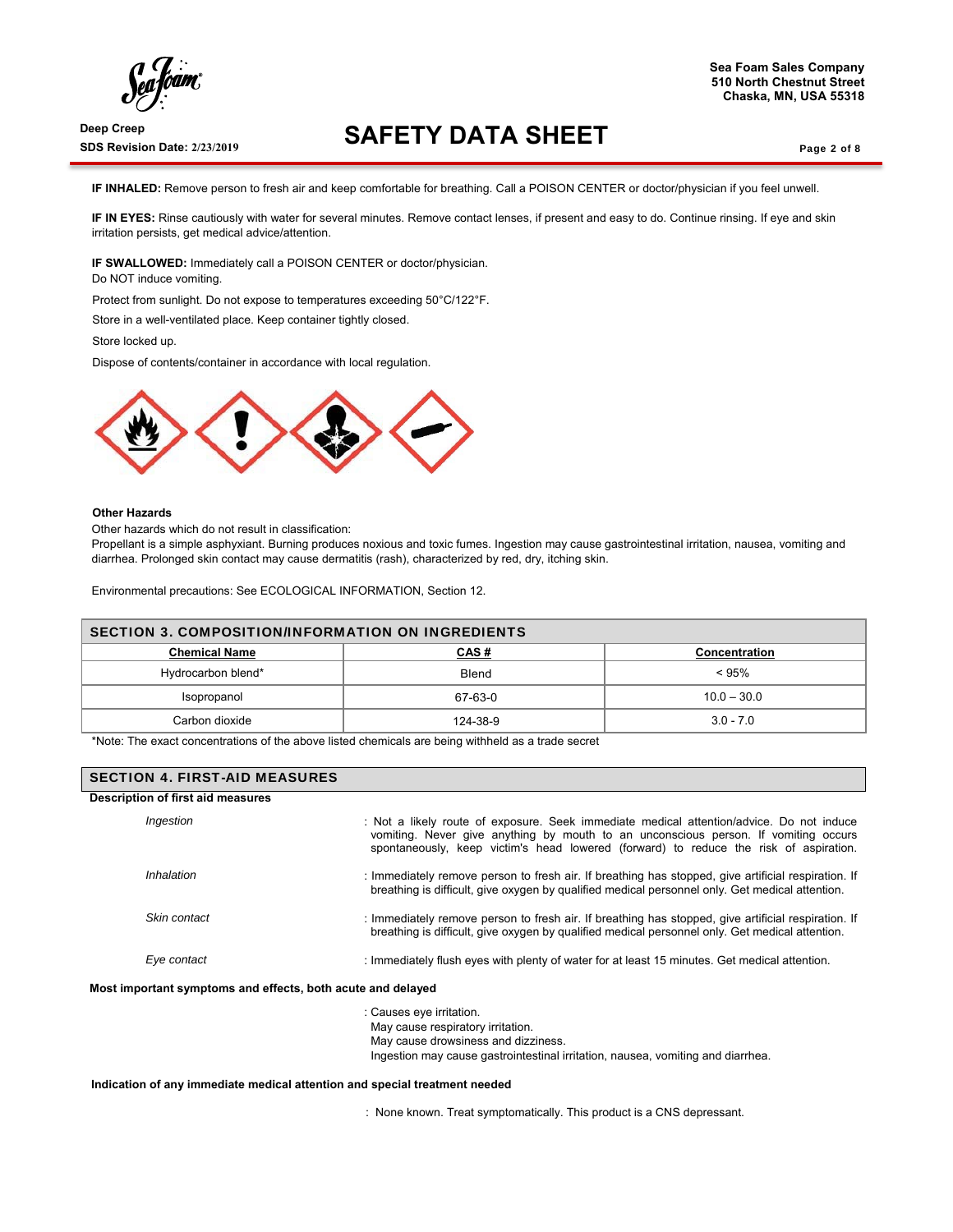**SDS Revision Date: 2/23/2019 SAFETY DATA SHEET** 

### Page 2 of 8

**IF INHALED:** Remove person to fresh air and keep comfortable for breathing. Call a POISON CENTER or doctor/physician if you feel unwell.

**IF IN EYES:** Rinse cautiously with water for several minutes. Remove contact lenses, if present and easy to do. Continue rinsing. If eye and skin irritation persists, get medical advice/attention.

**IF SWALLOWED:** Immediately call a POISON CENTER or doctor/physician. Do NOT induce vomiting.

Protect from sunlight. Do not expose to temperatures exceeding 50°C/122°F.

Store in a well-ventilated place. Keep container tightly closed.

Store locked up.

Dispose of contents/container in accordance with local regulation.



#### **Other Hazards**

Other hazards which do not result in classification:

Propellant is a simple asphyxiant. Burning produces noxious and toxic fumes. Ingestion may cause gastrointestinal irritation, nausea, vomiting and diarrhea. Prolonged skin contact may cause dermatitis (rash), characterized by red, dry, itching skin.

Environmental precautions: See ECOLOGICAL INFORMATION, Section 12.

| <b>SECTION 3. COMPOSITION/INFORMATION ON INGREDIENTS</b> |              |               |
|----------------------------------------------------------|--------------|---------------|
| <b>Chemical Name</b>                                     | <u>CAS #</u> | Concentration |
| Hydrocarbon blend*                                       | Blend        | $< 95\%$      |
| Isopropanol                                              | 67-63-0      | $10.0 - 30.0$ |
| Carbon dioxide                                           | 124-38-9     | $3.0 - 7.0$   |

\*Note: The exact concentrations of the above listed chemicals are being withheld as a trade secret

# SECTION 4. FIRST-AID MEASURES

### **Description of first aid measures**

| Ingestion                                                   | : Not a likely route of exposure. Seek immediate medical attention/advice. Do not induce<br>vomiting. Never give anything by mouth to an unconscious person. If vomiting occurs<br>spontaneously, keep victim's head lowered (forward) to reduce the risk of aspiration. |
|-------------------------------------------------------------|--------------------------------------------------------------------------------------------------------------------------------------------------------------------------------------------------------------------------------------------------------------------------|
| Inhalation                                                  | : Immediately remove person to fresh air. If breathing has stopped, give artificial respiration. If<br>breathing is difficult, give oxygen by qualified medical personnel only. Get medical attention.                                                                   |
| Skin contact                                                | : Immediately remove person to fresh air. If breathing has stopped, give artificial respiration. If<br>breathing is difficult, give oxygen by qualified medical personnel only. Get medical attention.                                                                   |
| Eye contact                                                 | : Immediately flush eyes with plenty of water for at least 15 minutes. Get medical attention.                                                                                                                                                                            |
| Most important symptoms and effects, both acute and delayed |                                                                                                                                                                                                                                                                          |

: Causes eye irritation. May cause respiratory irritation. May cause drowsiness and dizziness. Ingestion may cause gastrointestinal irritation, nausea, vomiting and diarrhea.

**Indication of any immediate medical attention and special treatment needed** 

: None known. Treat symptomatically. This product is a CNS depressant.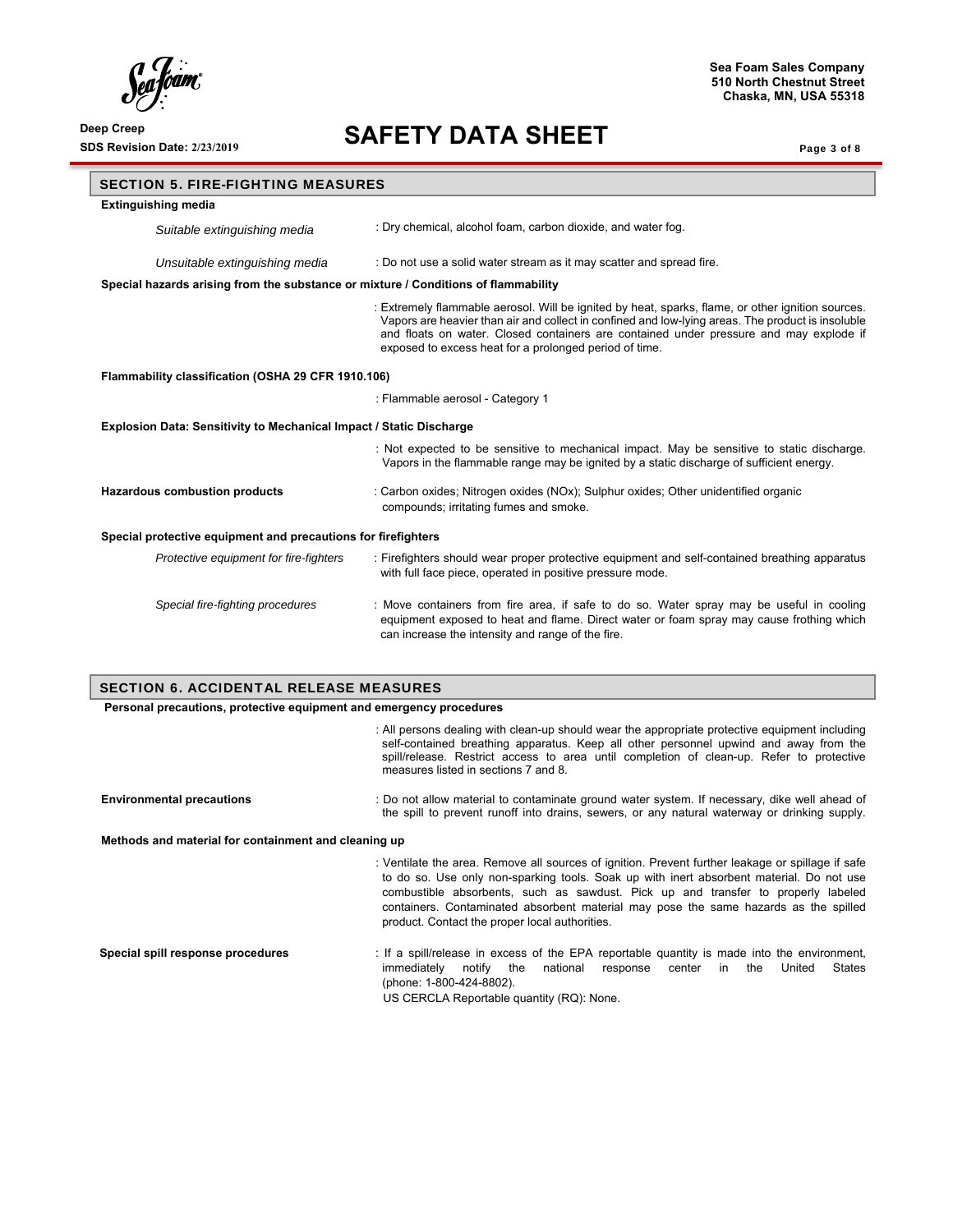$\int_{\ell}$ ra<br>Kodin

# **SDS Revision Date: 2/23/2019 SAFETY DATA SHEET**

**Sea Foam Sales Company 510 North Chestnut Street Chaska, MN, USA 55318**

Page 3 of 8

| <b>SECTION 5. FIRE-FIGHTING MEASURES</b>                                           |                                                                                                                                                                                                                                                                                                                                                            |  |
|------------------------------------------------------------------------------------|------------------------------------------------------------------------------------------------------------------------------------------------------------------------------------------------------------------------------------------------------------------------------------------------------------------------------------------------------------|--|
| <b>Extinguishing media</b>                                                         |                                                                                                                                                                                                                                                                                                                                                            |  |
| Suitable extinguishing media                                                       | : Dry chemical, alcohol foam, carbon dioxide, and water fog.                                                                                                                                                                                                                                                                                               |  |
| Unsuitable extinguishing media                                                     | : Do not use a solid water stream as it may scatter and spread fire.                                                                                                                                                                                                                                                                                       |  |
| Special hazards arising from the substance or mixture / Conditions of flammability |                                                                                                                                                                                                                                                                                                                                                            |  |
|                                                                                    | : Extremely flammable aerosol. Will be ignited by heat, sparks, flame, or other ignition sources.<br>Vapors are heavier than air and collect in confined and low-lying areas. The product is insoluble<br>and floats on water. Closed containers are contained under pressure and may explode if<br>exposed to excess heat for a prolonged period of time. |  |
| Flammability classification (OSHA 29 CFR 1910.106)                                 |                                                                                                                                                                                                                                                                                                                                                            |  |
|                                                                                    | : Flammable aerosol - Category 1                                                                                                                                                                                                                                                                                                                           |  |
| <b>Explosion Data: Sensitivity to Mechanical Impact / Static Discharge</b>         |                                                                                                                                                                                                                                                                                                                                                            |  |
|                                                                                    | : Not expected to be sensitive to mechanical impact. May be sensitive to static discharge.<br>Vapors in the flammable range may be ignited by a static discharge of sufficient energy.                                                                                                                                                                     |  |
| <b>Hazardous combustion products</b>                                               | : Carbon oxides; Nitrogen oxides (NOx); Sulphur oxides; Other unidentified organic<br>compounds; irritating fumes and smoke.                                                                                                                                                                                                                               |  |
| Special protective equipment and precautions for firefighters                      |                                                                                                                                                                                                                                                                                                                                                            |  |
| Protective equipment for fire-fighters                                             | : Firefighters should wear proper protective equipment and self-contained breathing apparatus<br>with full face piece, operated in positive pressure mode.                                                                                                                                                                                                 |  |
| Special fire-fighting procedures                                                   | : Move containers from fire area, if safe to do so. Water spray may be useful in cooling<br>equipment exposed to heat and flame. Direct water or foam spray may cause frothing which<br>can increase the intensity and range of the fire.                                                                                                                  |  |

# SECTION 6. ACCIDENTAL RELEASE MEASURES

 **Personal precautions, protective equipment and emergency procedures** 

|                                                      | : All persons dealing with clean-up should wear the appropriate protective equipment including<br>self-contained breathing apparatus. Keep all other personnel upwind and away from the<br>spill/release. Restrict access to area until completion of clean-up. Refer to protective<br>measures listed in sections 7 and 8.                                                                                                  |
|------------------------------------------------------|------------------------------------------------------------------------------------------------------------------------------------------------------------------------------------------------------------------------------------------------------------------------------------------------------------------------------------------------------------------------------------------------------------------------------|
| <b>Environmental precautions</b>                     | : Do not allow material to contaminate ground water system. If necessary, dike well ahead of<br>the spill to prevent runoff into drains, sewers, or any natural waterway or drinking supply.                                                                                                                                                                                                                                 |
| Methods and material for containment and cleaning up |                                                                                                                                                                                                                                                                                                                                                                                                                              |
|                                                      | : Ventilate the area. Remove all sources of ignition. Prevent further leakage or spillage if safe<br>to do so. Use only non-sparking tools. Soak up with inert absorbent material. Do not use<br>combustible absorbents, such as sawdust. Pick up and transfer to properly labeled<br>containers. Contaminated absorbent material may pose the same hazards as the spilled<br>product. Contact the proper local authorities. |
| Special spill response procedures                    | : If a spill/release in excess of the EPA reportable quantity is made into the environment,<br>States<br>immediately<br>notify the<br>national<br>the<br>United<br>response center<br>in<br>(phone: 1-800-424-8802).<br>US CERCLA Reportable quantity (RQ): None.                                                                                                                                                            |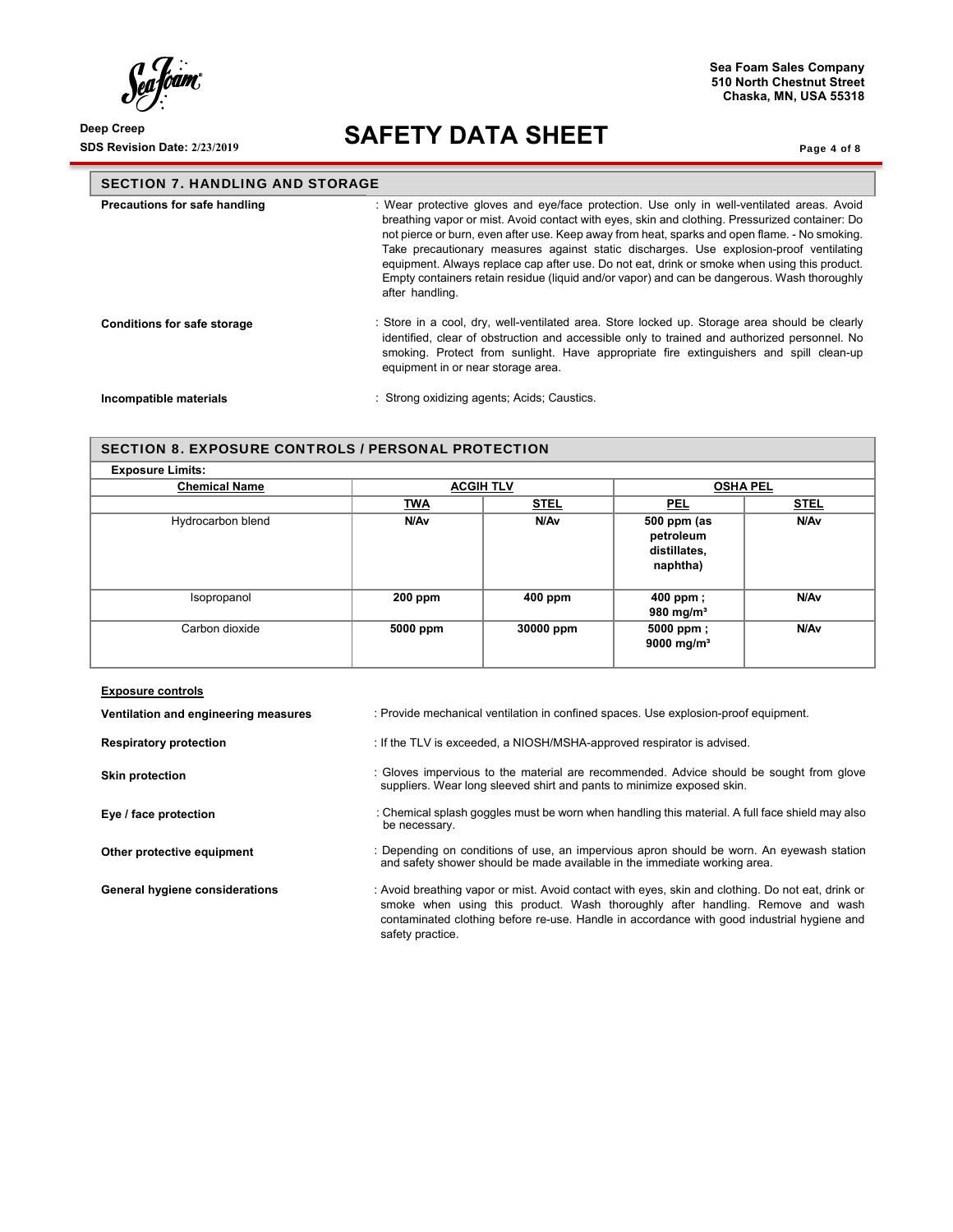$\int_{0}^{1}$ 'oam".

# **SDS Revision Date: 2/23/2019 SAFETY DATA SHEET**

**Chaska, MN, USA 55318**

**Sea Foam Sales Company 510 North Chestnut Street** 

Page 4 of 8

| <b>SECTION 7. HANDLING AND STORAGE</b> |                                                                                                                                                                                                                                                                                                                                                                                                                                                                                                                                                                                                           |  |
|----------------------------------------|-----------------------------------------------------------------------------------------------------------------------------------------------------------------------------------------------------------------------------------------------------------------------------------------------------------------------------------------------------------------------------------------------------------------------------------------------------------------------------------------------------------------------------------------------------------------------------------------------------------|--|
| Precautions for safe handling          | : Wear protective gloves and eye/face protection. Use only in well-ventilated areas. Avoid<br>breathing vapor or mist. Avoid contact with eyes, skin and clothing. Pressurized container: Do<br>not pierce or burn, even after use. Keep away from heat, sparks and open flame. - No smoking.<br>Take precautionary measures against static discharges. Use explosion-proof ventilating<br>equipment. Always replace cap after use. Do not eat, drink or smoke when using this product.<br>Empty containers retain residue (liquid and/or vapor) and can be dangerous. Wash thoroughly<br>after handling. |  |
| <b>Conditions for safe storage</b>     | : Store in a cool, dry, well-ventilated area. Store locked up. Storage area should be clearly<br>identified, clear of obstruction and accessible only to trained and authorized personnel. No<br>smoking. Protect from sunlight. Have appropriate fire extinguishers and spill clean-up<br>equipment in or near storage area.                                                                                                                                                                                                                                                                             |  |
| Incompatible materials                 | : Strong oxidizing agents; Acids; Caustics.                                                                                                                                                                                                                                                                                                                                                                                                                                                                                                                                                               |  |

# SECTION 8. EXPOSURE CONTROLS / PERSONAL PROTECTION

| <b>Chemical Name</b> |            | <b>ACGIH TLV</b> |                                                      | <b>OSHA PEL</b> |  |
|----------------------|------------|------------------|------------------------------------------------------|-----------------|--|
|                      | <b>TWA</b> | <u>STEL</u>      | <b>PEL</b>                                           | <b>STEL</b>     |  |
| Hydrocarbon blend    | N/Av       | N/Av             | 500 ppm (as<br>petroleum<br>distillates,<br>naphtha) | N/Av            |  |
| Isopropanol          | $200$ ppm  | $400$ ppm        | 400 ppm;<br>980 mg/m <sup>3</sup>                    | N/Av            |  |
| Carbon dioxide       | 5000 ppm   | 30000 ppm        | 5000 ppm;<br>9000 mg/m <sup>3</sup>                  | N/Av            |  |

| <b>Exposure controls</b>             |                                                                                                                                                                                                                                                                                                       |
|--------------------------------------|-------------------------------------------------------------------------------------------------------------------------------------------------------------------------------------------------------------------------------------------------------------------------------------------------------|
| Ventilation and engineering measures | : Provide mechanical ventilation in confined spaces. Use explosion-proof equipment.                                                                                                                                                                                                                   |
| <b>Respiratory protection</b>        | : If the TLV is exceeded, a NIOSH/MSHA-approved respirator is advised.                                                                                                                                                                                                                                |
| <b>Skin protection</b>               | : Gloves impervious to the material are recommended. Advice should be sought from glove<br>suppliers. Wear long sleeved shirt and pants to minimize exposed skin.                                                                                                                                     |
| Eye / face protection                | : Chemical splash goggles must be worn when handling this material. A full face shield may also<br>be necessary.                                                                                                                                                                                      |
| Other protective equipment           | : Depending on conditions of use, an impervious apron should be worn. An eyewash station<br>and safety shower should be made available in the immediate working area.                                                                                                                                 |
| General hygiene considerations       | : Avoid breathing vapor or mist. Avoid contact with eyes, skin and clothing. Do not eat, drink or<br>smoke when using this product. Wash thoroughly after handling. Remove and wash<br>contaminated clothing before re-use. Handle in accordance with good industrial hygiene and<br>safety practice. |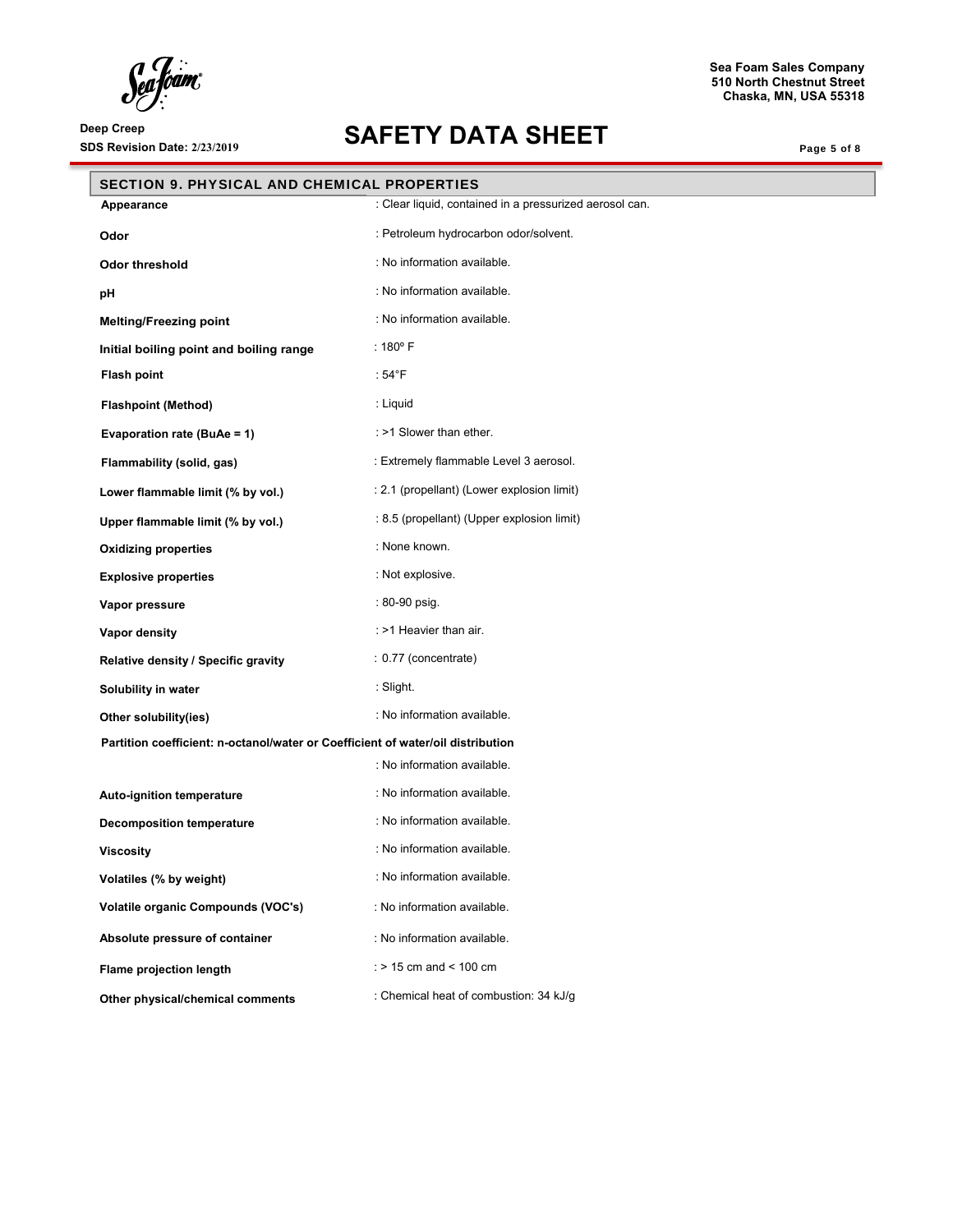Seafoam

# **SDS Revision Date: 2/23/2019 SAFETY DATA SHEET**

**Sea Foam Sales Company 510 North Chestnut Street Chaska, MN, USA 55318**

Page 5 of 8

| <b>SECTION 9. PHYSICAL AND CHEMICAL PROPERTIES</b>                              |                                                         |  |
|---------------------------------------------------------------------------------|---------------------------------------------------------|--|
| Appearance                                                                      | : Clear liquid, contained in a pressurized aerosol can. |  |
| Odor                                                                            | : Petroleum hydrocarbon odor/solvent.                   |  |
| Odor threshold                                                                  | : No information available.                             |  |
| pH                                                                              | : No information available.                             |  |
| <b>Melting/Freezing point</b>                                                   | : No information available.                             |  |
| Initial boiling point and boiling range                                         | : $180^{\circ}$ F                                       |  |
| <b>Flash point</b>                                                              | : 54°F                                                  |  |
| <b>Flashpoint (Method)</b>                                                      | : Liquid                                                |  |
| Evaporation rate (BuAe = 1)                                                     | : >1 Slower than ether.                                 |  |
| Flammability (solid, gas)                                                       | : Extremely flammable Level 3 aerosol.                  |  |
| Lower flammable limit (% by vol.)                                               | : 2.1 (propellant) (Lower explosion limit)              |  |
| Upper flammable limit (% by vol.)                                               | : 8.5 (propellant) (Upper explosion limit)              |  |
| <b>Oxidizing properties</b>                                                     | : None known.                                           |  |
| <b>Explosive properties</b>                                                     | : Not explosive.                                        |  |
| Vapor pressure                                                                  | : 80-90 psig.                                           |  |
| Vapor density                                                                   | : >1 Heavier than air.                                  |  |
| Relative density / Specific gravity                                             | : 0.77 (concentrate)                                    |  |
| Solubility in water                                                             | : Slight.                                               |  |
| Other solubility(ies)                                                           | : No information available.                             |  |
| Partition coefficient: n-octanol/water or Coefficient of water/oil distribution |                                                         |  |
|                                                                                 | : No information available.                             |  |
| Auto-ignition temperature                                                       | : No information available.                             |  |
| <b>Decomposition temperature</b>                                                | : No information available.                             |  |
| <b>Viscosity</b>                                                                | : No information available.                             |  |
| Volatiles (% by weight)                                                         | : No information available.                             |  |
| Volatile organic Compounds (VOC's)                                              | : No information available.                             |  |
| Absolute pressure of container                                                  | : No information available.                             |  |
| Flame projection length                                                         | : $> 15$ cm and $< 100$ cm                              |  |
| Other physical/chemical comments                                                | : Chemical heat of combustion: 34 kJ/g                  |  |
|                                                                                 |                                                         |  |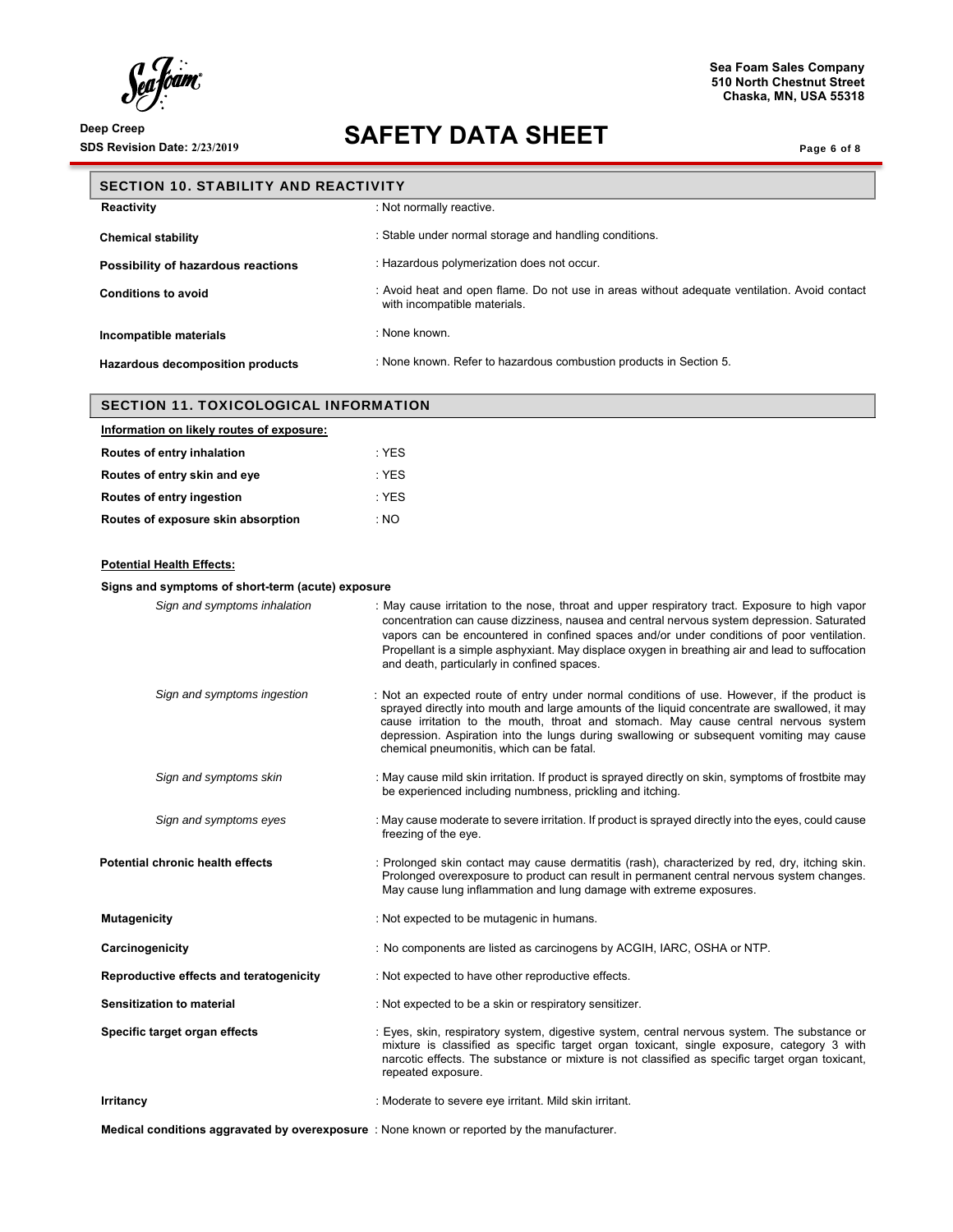Sea Joam

# **SDS Revision Date: 2/23/2019 SAFETY DATA SHEET**

**Sea Foam Sales Company 510 North Chestnut Street Chaska, MN, USA 55318**

Page 6 of 8

| <b>SECTION 10. STABILITY AND REACTIVITY</b>  |                                                                                                                              |
|----------------------------------------------|------------------------------------------------------------------------------------------------------------------------------|
| Reactivity                                   | : Not normally reactive.                                                                                                     |
| <b>Chemical stability</b>                    | : Stable under normal storage and handling conditions.                                                                       |
| Possibility of hazardous reactions           | : Hazardous polymerization does not occur.                                                                                   |
| <b>Conditions to avoid</b>                   | : Avoid heat and open flame. Do not use in areas without adequate ventilation. Avoid contact<br>with incompatible materials. |
| Incompatible materials                       | : None known.                                                                                                                |
| Hazardous decomposition products             | : None known. Refer to hazardous combustion products in Section 5.                                                           |
| <b>SECTION 11. TOXICOLOGICAL INFORMATION</b> |                                                                                                                              |
| Information on likely routes of exposure:    |                                                                                                                              |
| Routes of entry inhalation                   | $:$ YES                                                                                                                      |
| Routes of entry skin and eye                 | $:$ YES                                                                                                                      |
| Routes of entry ingestion                    | $:$ YES                                                                                                                      |
| Routes of exposure skin absorption           | : NO                                                                                                                         |

# **Potential Health Effects:**

| Signs and symptoms of short-term (acute) exposure |                                                                                                                                                                                                                                                                                                                                                                                                                                             |  |
|---------------------------------------------------|---------------------------------------------------------------------------------------------------------------------------------------------------------------------------------------------------------------------------------------------------------------------------------------------------------------------------------------------------------------------------------------------------------------------------------------------|--|
| Sign and symptoms inhalation                      | : May cause irritation to the nose, throat and upper respiratory tract. Exposure to high vapor<br>concentration can cause dizziness, nausea and central nervous system depression. Saturated<br>vapors can be encountered in confined spaces and/or under conditions of poor ventilation.<br>Propellant is a simple asphyxiant. May displace oxygen in breathing air and lead to suffocation<br>and death, particularly in confined spaces. |  |
| Sign and symptoms ingestion                       | : Not an expected route of entry under normal conditions of use. However, if the product is<br>sprayed directly into mouth and large amounts of the liquid concentrate are swallowed, it may<br>cause irritation to the mouth, throat and stomach. May cause central nervous system<br>depression. Aspiration into the lungs during swallowing or subsequent vomiting may cause<br>chemical pneumonitis, which can be fatal.                |  |
| Sign and symptoms skin                            | : May cause mild skin irritation. If product is sprayed directly on skin, symptoms of frostbite may<br>be experienced including numbness, prickling and itching.                                                                                                                                                                                                                                                                            |  |
| Sign and symptoms eyes                            | : May cause moderate to severe irritation. If product is sprayed directly into the eyes, could cause<br>freezing of the eye.                                                                                                                                                                                                                                                                                                                |  |
| Potential chronic health effects                  | : Prolonged skin contact may cause dermatitis (rash), characterized by red, dry, itching skin.<br>Prolonged overexposure to product can result in permanent central nervous system changes.<br>May cause lung inflammation and lung damage with extreme exposures.                                                                                                                                                                          |  |
| <b>Mutagenicity</b>                               | : Not expected to be mutagenic in humans.                                                                                                                                                                                                                                                                                                                                                                                                   |  |
| Carcinogenicity                                   | : No components are listed as carcinogens by ACGIH, IARC, OSHA or NTP.                                                                                                                                                                                                                                                                                                                                                                      |  |
| Reproductive effects and teratogenicity           | : Not expected to have other reproductive effects.                                                                                                                                                                                                                                                                                                                                                                                          |  |
| Sensitization to material                         | : Not expected to be a skin or respiratory sensitizer.                                                                                                                                                                                                                                                                                                                                                                                      |  |
| Specific target organ effects                     | : Eyes, skin, respiratory system, digestive system, central nervous system. The substance or<br>mixture is classified as specific target organ toxicant, single exposure, category 3 with<br>narcotic effects. The substance or mixture is not classified as specific target organ toxicant,<br>repeated exposure.                                                                                                                          |  |
| Irritancy                                         | : Moderate to severe eye irritant. Mild skin irritant.                                                                                                                                                                                                                                                                                                                                                                                      |  |

**Medical conditions aggravated by overexposure** : None known or reported by the manufacturer.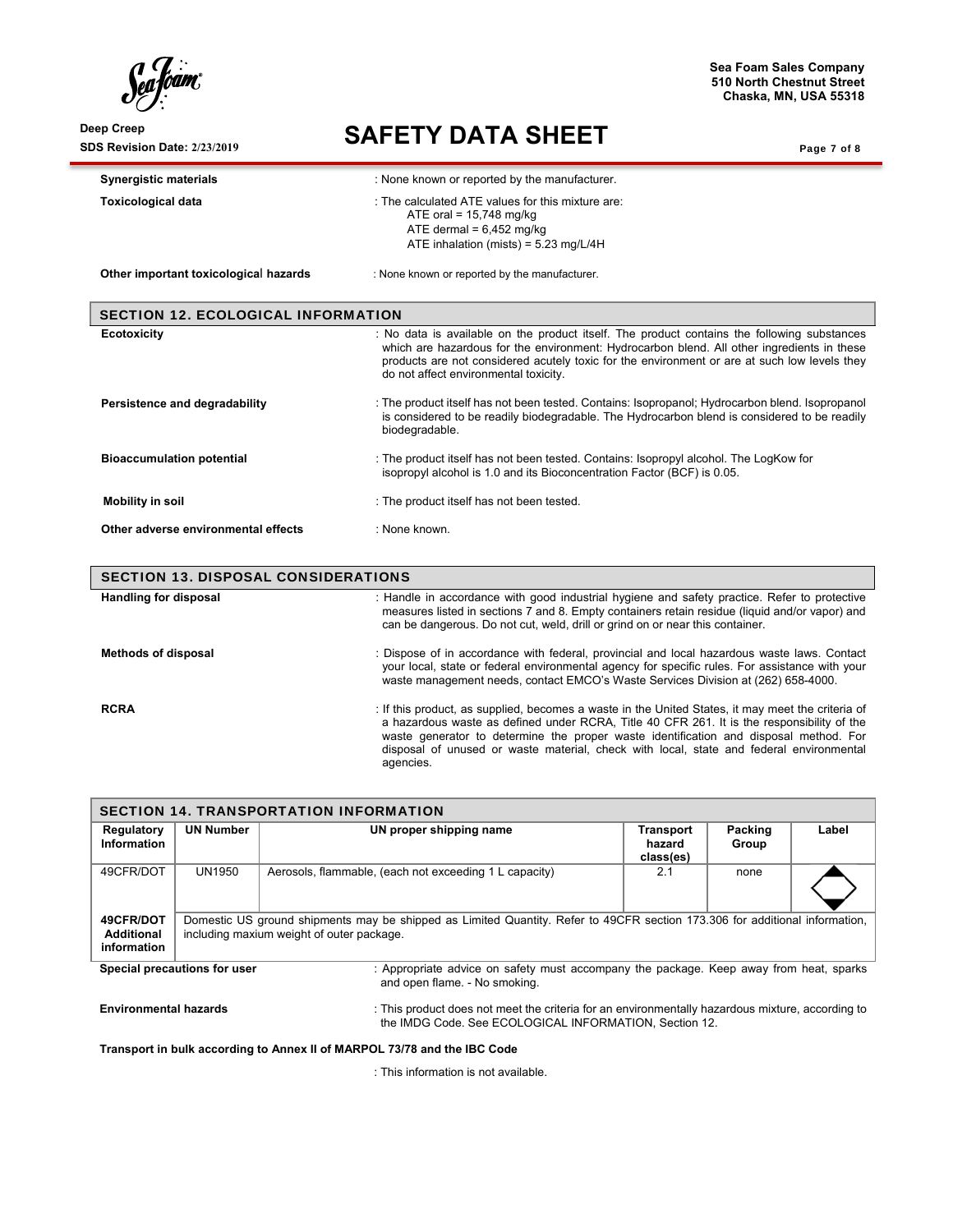**SDS Revision Date: 2/23/2019 SAFETY DATA SHEET** 

**Sea Foam Sales Company 510 North Chestnut Street Chaska, MN, USA 55318**

Page 7 of 8

| <b>Synergistic materials</b>               | : None known or reported by the manufacturer.                                                                                                                                                                                                                                                                                      |  |  |
|--------------------------------------------|------------------------------------------------------------------------------------------------------------------------------------------------------------------------------------------------------------------------------------------------------------------------------------------------------------------------------------|--|--|
| <b>Toxicological data</b>                  | : The calculated ATE values for this mixture are:<br>ATE oral = $15,748$ mg/kg<br>ATE dermal = $6,452$ mg/kg<br>ATE inhalation (mists) = $5.23$ mg/L/4H                                                                                                                                                                            |  |  |
| Other important toxicological hazards      | : None known or reported by the manufacturer.                                                                                                                                                                                                                                                                                      |  |  |
| <b>SECTION 12. ECOLOGICAL INFORMATION</b>  |                                                                                                                                                                                                                                                                                                                                    |  |  |
| Ecotoxicity                                | : No data is available on the product itself. The product contains the following substances<br>which are hazardous for the environment: Hydrocarbon blend. All other ingredients in these<br>products are not considered acutely toxic for the environment or are at such low levels they<br>do not affect environmental toxicity. |  |  |
| Persistence and degradability              | : The product itself has not been tested. Contains: Isopropanol; Hydrocarbon blend. Isopropanol<br>is considered to be readily biodegradable. The Hydrocarbon blend is considered to be readily<br>biodegradable.                                                                                                                  |  |  |
| <b>Bioaccumulation potential</b>           | : The product itself has not been tested. Contains: Isopropyl alcohol. The LogKow for<br>isopropyl alcohol is 1.0 and its Bioconcentration Factor (BCF) is 0.05.                                                                                                                                                                   |  |  |
| Mobility in soil                           | : The product itself has not been tested.                                                                                                                                                                                                                                                                                          |  |  |
| Other adverse environmental effects        | : None known.                                                                                                                                                                                                                                                                                                                      |  |  |
| <b>SECTION 13. DISPOSAL CONSIDERATIONS</b> |                                                                                                                                                                                                                                                                                                                                    |  |  |
| Handling for disposal                      | : Handle in accordance with good industrial hygiene and safety practice. Refer to protective<br>measures listed in sections 7 and 8. Empty containers retain residue (liquid and/or vapor) and<br>can be dangerous. Do not cut, weld, drill or grind on or near this container.                                                    |  |  |
| <b>Methods of disposal</b>                 | : Dispose of in accordance with federal, provincial and local hazardous waste laws. Contact<br>your local, state or federal environmental agency for specific rules. For assistance with your                                                                                                                                      |  |  |

**RCRA** : If this product, as supplied, becomes a waste in the United States, it may meet the criteria of a hazardous waste as defined under RCRA, Title 40 CFR 261. It is the responsibility of the waste generator to determine the proper waste identification and disposal method. For disposal of unused or waste material, check with local, state and federal environmental agencies.

| <b>SECTION 14. TRANSPORTATION INFORMATION</b>                                                                                                           |                                                                                                                                                                          |                                                        |                                         |                  |       |  |  |
|---------------------------------------------------------------------------------------------------------------------------------------------------------|--------------------------------------------------------------------------------------------------------------------------------------------------------------------------|--------------------------------------------------------|-----------------------------------------|------------------|-------|--|--|
| Regulatory<br>Information                                                                                                                               | <b>UN Number</b>                                                                                                                                                         | UN proper shipping name                                | <b>Transport</b><br>hazard<br>class(es) | Packing<br>Group | Label |  |  |
| 49CFR/DOT                                                                                                                                               | UN1950                                                                                                                                                                   | Aerosols, flammable, (each not exceeding 1 L capacity) | 2.1                                     | none             |       |  |  |
| 49CFR/DOT<br>Additional<br>information                                                                                                                  | Domestic US ground shipments may be shipped as Limited Quantity. Refer to 49CFR section 173.306 for additional information,<br>including maxium weight of outer package. |                                                        |                                         |                  |       |  |  |
| Special precautions for user<br>: Appropriate advice on safety must accompany the package. Keep away from heat, sparks<br>and open flame. - No smoking. |                                                                                                                                                                          |                                                        |                                         |                  |       |  |  |

waste management needs, contact EMCO's Waste Services Division at (262) 658-4000.

**Environmental hazards** : This product does not meet the criteria for an environmentally hazardous mixture, according to

the IMDG Code. See ECOLOGICAL INFORMATION, Section 12.

**Transport in bulk according to Annex II of MARPOL 73/78 and the IBC Code** 

: This information is not available.